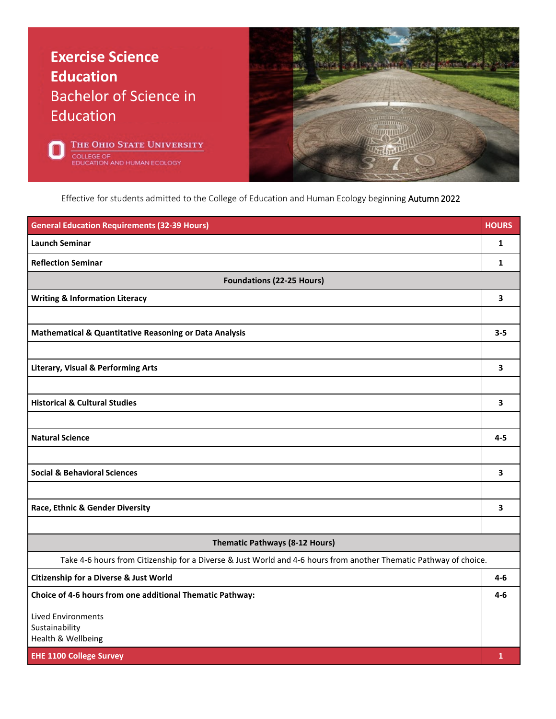## **Exercise Science Education** Bachelor of Science in Education





Effective for students admitted to the College of Education and Human Ecology beginning Autumn 2022

| <b>General Education Requirements (32-39 Hours)</b>                                                               | <b>HOURS</b> |  |
|-------------------------------------------------------------------------------------------------------------------|--------------|--|
| <b>Launch Seminar</b>                                                                                             | 1            |  |
| <b>Reflection Seminar</b>                                                                                         | 1            |  |
| <b>Foundations (22-25 Hours)</b>                                                                                  |              |  |
| <b>Writing &amp; Information Literacy</b>                                                                         | 3            |  |
|                                                                                                                   |              |  |
| <b>Mathematical &amp; Quantitative Reasoning or Data Analysis</b>                                                 | $3 - 5$      |  |
|                                                                                                                   |              |  |
| <b>Literary, Visual &amp; Performing Arts</b>                                                                     | 3            |  |
|                                                                                                                   |              |  |
| <b>Historical &amp; Cultural Studies</b>                                                                          | 3            |  |
|                                                                                                                   |              |  |
| <b>Natural Science</b>                                                                                            | $4 - 5$      |  |
|                                                                                                                   |              |  |
| <b>Social &amp; Behavioral Sciences</b>                                                                           | 3            |  |
|                                                                                                                   |              |  |
| Race, Ethnic & Gender Diversity                                                                                   | 3            |  |
|                                                                                                                   |              |  |
| Thematic Pathways (8-12 Hours)                                                                                    |              |  |
| Take 4-6 hours from Citizenship for a Diverse & Just World and 4-6 hours from another Thematic Pathway of choice. |              |  |
| <b>Citizenship for a Diverse &amp; Just World</b>                                                                 | 4-6          |  |
| Choice of 4-6 hours from one additional Thematic Pathway:                                                         | $4 - 6$      |  |
| <b>Lived Environments</b>                                                                                         |              |  |
| Sustainability<br>Health & Wellbeing                                                                              |              |  |
| <b>EHE 1100 College Survey</b>                                                                                    | $\mathbf{1}$ |  |